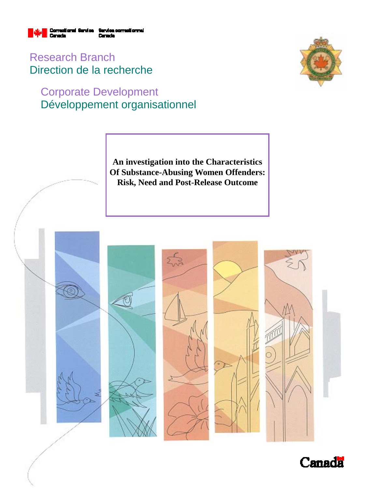

Research Branch Direction de la recherche

# Corporate Development Développement organisationnel



**An investigation into the Characteristics Of Substance-Abusing Women Offenders: Risk, Need and Post-Release Outcome** 



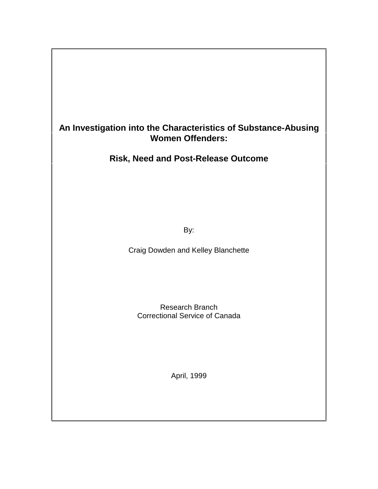## **An Investigation into the Characteristics of Substance-Abusing Women Offenders:**

## **Risk, Need and Post-Release Outcome**

By:

Craig Dowden and Kelley Blanchette

Research Branch Correctional Service of Canada

April, 1999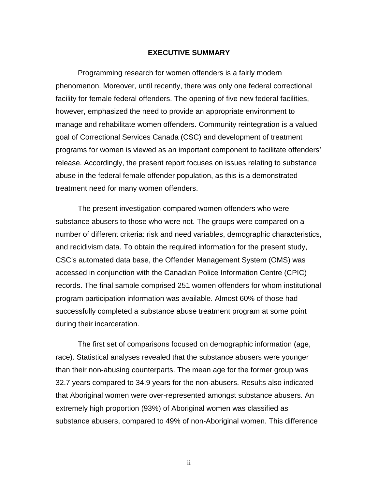#### **EXECUTIVE SUMMARY**

Programming research for women offenders is a fairly modern phenomenon. Moreover, until recently, there was only one federal correctional facility for female federal offenders. The opening of five new federal facilities, however, emphasized the need to provide an appropriate environment to manage and rehabilitate women offenders. Community reintegration is a valued goal of Correctional Services Canada (CSC) and development of treatment programs for women is viewed as an important component to facilitate offenders' release. Accordingly, the present report focuses on issues relating to substance abuse in the federal female offender population, as this is a demonstrated treatment need for many women offenders.

The present investigation compared women offenders who were substance abusers to those who were not. The groups were compared on a number of different criteria: risk and need variables, demographic characteristics, and recidivism data. To obtain the required information for the present study, CSC's automated data base, the Offender Management System (OMS) was accessed in conjunction with the Canadian Police Information Centre (CPIC) records. The final sample comprised 251 women offenders for whom institutional program participation information was available. Almost 60% of those had successfully completed a substance abuse treatment program at some point during their incarceration.

The first set of comparisons focused on demographic information (age, race). Statistical analyses revealed that the substance abusers were younger than their non-abusing counterparts. The mean age for the former group was 32.7 years compared to 34.9 years for the non-abusers. Results also indicated that Aboriginal women were over-represented amongst substance abusers. An extremely high proportion (93%) of Aboriginal women was classified as substance abusers, compared to 49% of non-Aboriginal women. This difference

ii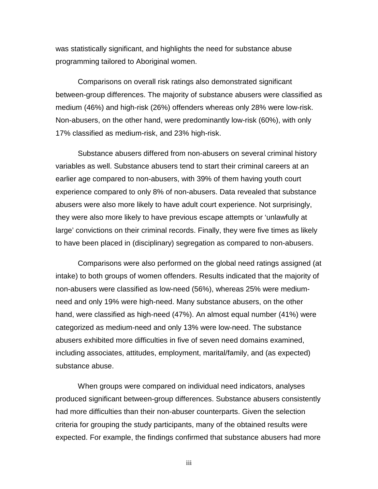was statistically significant, and highlights the need for substance abuse programming tailored to Aboriginal women.

Comparisons on overall risk ratings also demonstrated significant between-group differences. The majority of substance abusers were classified as medium (46%) and high-risk (26%) offenders whereas only 28% were low-risk. Non-abusers, on the other hand, were predominantly low-risk (60%), with only 17% classified as medium-risk, and 23% high-risk.

Substance abusers differed from non-abusers on several criminal history variables as well. Substance abusers tend to start their criminal careers at an earlier age compared to non-abusers, with 39% of them having youth court experience compared to only 8% of non-abusers. Data revealed that substance abusers were also more likely to have adult court experience. Not surprisingly, they were also more likely to have previous escape attempts or 'unlawfully at large' convictions on their criminal records. Finally, they were five times as likely to have been placed in (disciplinary) segregation as compared to non-abusers.

Comparisons were also performed on the global need ratings assigned (at intake) to both groups of women offenders. Results indicated that the majority of non-abusers were classified as low-need (56%), whereas 25% were mediumneed and only 19% were high-need. Many substance abusers, on the other hand, were classified as high-need (47%). An almost equal number (41%) were categorized as medium-need and only 13% were low-need. The substance abusers exhibited more difficulties in five of seven need domains examined, including associates, attitudes, employment, marital/family, and (as expected) substance abuse.

When groups were compared on individual need indicators, analyses produced significant between-group differences. Substance abusers consistently had more difficulties than their non-abuser counterparts. Given the selection criteria for grouping the study participants, many of the obtained results were expected. For example, the findings confirmed that substance abusers had more

iii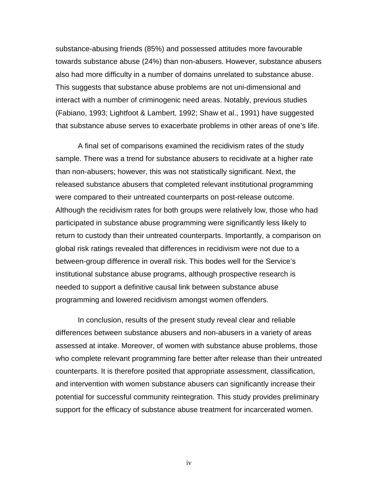substance-abusing friends (85%) and possessed attitudes more favourable towards substance abuse (24%) than non-abusers. However, substance abusers also had more difficulty in a number of domains unrelated to substance abuse. This suggests that substance abuse problems are not uni-dimensional and interact with a number of criminogenic need areas. Notably, previous studies (Fabiano, 1993; Lightfoot & Lambert, 1992; Shaw et al., 1991) have suggested that substance abuse serves to exacerbate problems in other areas of one's life.

A final set of comparisons examined the recidivism rates of the study sample. There was a trend for substance abusers to recidivate at a higher rate than non-abusers; however, this was not statistically significant. Next, the released substance abusers that completed relevant institutional programming were compared to their untreated counterparts on post-release outcome. Although the recidivism rates for both groups were relatively low, those who had participated in substance abuse programming were significantly less likely to return to custody than their untreated counterparts. Importantly, a comparison on global risk ratings revealed that differences in recidivism were not due to a between-group difference in overall risk. This bodes well for the Service's institutional substance abuse programs, although prospective research is needed to support a definitive causal link between substance abuse programming and lowered recidivism amongst women offenders.

In conclusion, results of the present study reveal clear and reliable differences between substance abusers and non-abusers in a variety of areas assessed at intake. Moreover, of women with substance abuse problems, those who complete relevant programming fare better after release than their untreated counterparts. It is therefore posited that appropriate assessment, classification, and intervention with women substance abusers can significantly increase their potential for successful community reintegration. This study provides preliminary support for the efficacy of substance abuse treatment for incarcerated women.

iv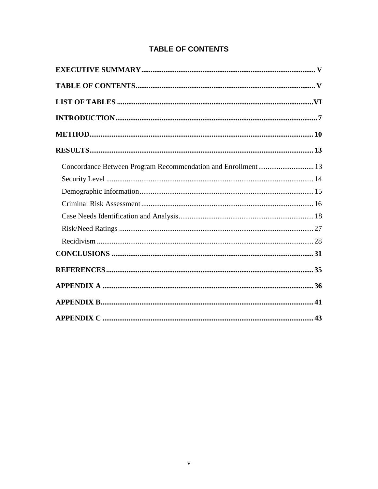## **TABLE OF CONTENTS**

| Concordance Between Program Recommendation and Enrollment 13 |  |
|--------------------------------------------------------------|--|
|                                                              |  |
|                                                              |  |
|                                                              |  |
|                                                              |  |
|                                                              |  |
|                                                              |  |
|                                                              |  |
|                                                              |  |
|                                                              |  |
|                                                              |  |
|                                                              |  |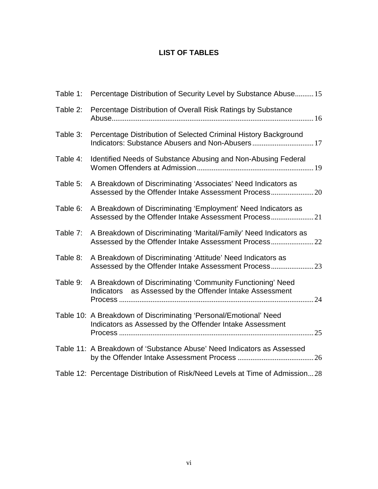## **LIST OF TABLES**

| Table 1: | Percentage Distribution of Security Level by Substance Abuse 15                                                               |
|----------|-------------------------------------------------------------------------------------------------------------------------------|
| Table 2: | Percentage Distribution of Overall Risk Ratings by Substance                                                                  |
| Table 3: | Percentage Distribution of Selected Criminal History Background                                                               |
| Table 4: | Identified Needs of Substance Abusing and Non-Abusing Federal                                                                 |
| Table 5: | A Breakdown of Discriminating 'Associates' Need Indicators as                                                                 |
| Table 6: | A Breakdown of Discriminating 'Employment' Need Indicators as                                                                 |
| Table 7: | A Breakdown of Discriminating 'Marital/Family' Need Indicators as                                                             |
| Table 8: | A Breakdown of Discriminating 'Attitude' Need Indicators as                                                                   |
| Table 9: | A Breakdown of Discriminating 'Community Functioning' Need<br>Indicators as Assessed by the Offender Intake Assessment<br>.24 |
|          | Table 10: A Breakdown of Discriminating 'Personal/Emotional' Need<br>Indicators as Assessed by the Offender Intake Assessment |
|          | Table 11: A Breakdown of 'Substance Abuse' Need Indicators as Assessed                                                        |
|          | Table 12: Percentage Distribution of Risk/Need Levels at Time of Admission28                                                  |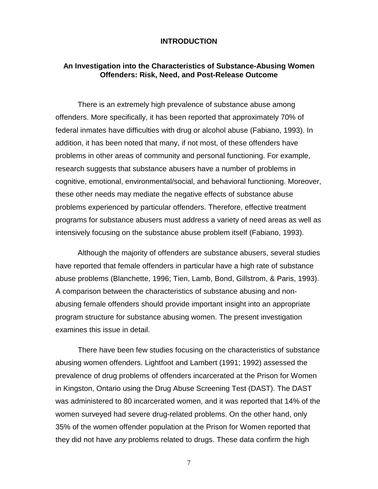#### **INTRODUCTION**

### **An Investigation into the Characteristics of Substance-Abusing Women Offenders: Risk, Need, and Post-Release Outcome**

There is an extremely high prevalence of substance abuse among offenders. More specifically, it has been reported that approximately 70% of federal inmates have difficulties with drug or alcohol abuse (Fabiano, 1993). In addition, it has been noted that many, if not most, of these offenders have problems in other areas of community and personal functioning. For example, research suggests that substance abusers have a number of problems in cognitive, emotional, environmental/social, and behavioral functioning. Moreover, these other needs may mediate the negative effects of substance abuse problems experienced by particular offenders. Therefore, effective treatment programs for substance abusers must address a variety of need areas as well as intensively focusing on the substance abuse problem itself (Fabiano, 1993).

Although the majority of offenders are substance abusers, several studies have reported that female offenders in particular have a high rate of substance abuse problems (Blanchette, 1996; Tien, Lamb, Bond, Gillstrom, & Paris, 1993). A comparison between the characteristics of substance abusing and nonabusing female offenders should provide important insight into an appropriate program structure for substance abusing women. The present investigation examines this issue in detail.

There have been few studies focusing on the characteristics of substance abusing women offenders. Lightfoot and Lambert (1991; 1992) assessed the prevalence of drug problems of offenders incarcerated at the Prison for Women in Kingston, Ontario using the Drug Abuse Screening Test (DAST). The DAST was administered to 80 incarcerated women, and it was reported that 14% of the women surveyed had severe drug-related problems. On the other hand, only 35% of the women offender population at the Prison for Women reported that they did not have any problems related to drugs. These data confirm the high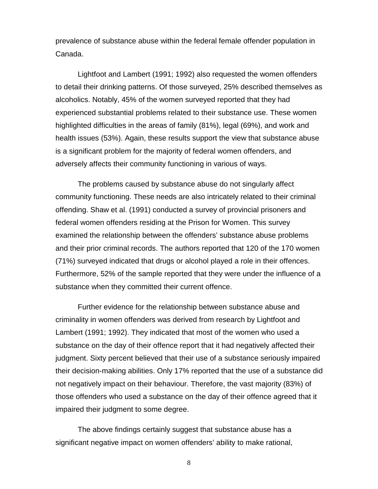prevalence of substance abuse within the federal female offender population in Canada.

Lightfoot and Lambert (1991; 1992) also requested the women offenders to detail their drinking patterns. Of those surveyed, 25% described themselves as alcoholics. Notably, 45% of the women surveyed reported that they had experienced substantial problems related to their substance use. These women highlighted difficulties in the areas of family (81%), legal (69%), and work and health issues (53%). Again, these results support the view that substance abuse is a significant problem for the majority of federal women offenders, and adversely affects their community functioning in various of ways.

The problems caused by substance abuse do not singularly affect community functioning. These needs are also intricately related to their criminal offending. Shaw et al. (1991) conducted a survey of provincial prisoners and federal women offenders residing at the Prison for Women. This survey examined the relationship between the offenders' substance abuse problems and their prior criminal records. The authors reported that 120 of the 170 women (71%) surveyed indicated that drugs or alcohol played a role in their offences. Furthermore, 52% of the sample reported that they were under the influence of a substance when they committed their current offence.

Further evidence for the relationship between substance abuse and criminality in women offenders was derived from research by Lightfoot and Lambert (1991; 1992). They indicated that most of the women who used a substance on the day of their offence report that it had negatively affected their judgment. Sixty percent believed that their use of a substance seriously impaired their decision-making abilities. Only 17% reported that the use of a substance did not negatively impact on their behaviour. Therefore, the vast majority (83%) of those offenders who used a substance on the day of their offence agreed that it impaired their judgment to some degree.

The above findings certainly suggest that substance abuse has a significant negative impact on women offenders' ability to make rational,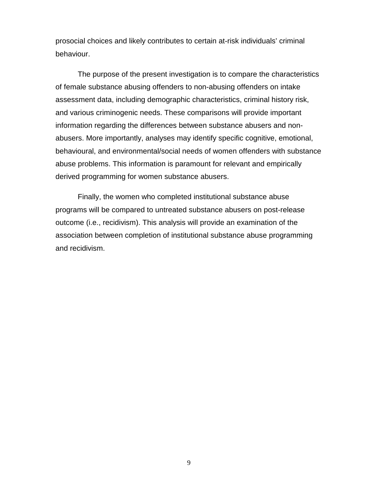prosocial choices and likely contributes to certain at-risk individuals' criminal behaviour.

The purpose of the present investigation is to compare the characteristics of female substance abusing offenders to non-abusing offenders on intake assessment data, including demographic characteristics, criminal history risk, and various criminogenic needs. These comparisons will provide important information regarding the differences between substance abusers and nonabusers. More importantly, analyses may identify specific cognitive, emotional, behavioural, and environmental/social needs of women offenders with substance abuse problems. This information is paramount for relevant and empirically derived programming for women substance abusers.

Finally, the women who completed institutional substance abuse programs will be compared to untreated substance abusers on post-release outcome (i.e., recidivism). This analysis will provide an examination of the association between completion of institutional substance abuse programming and recidivism.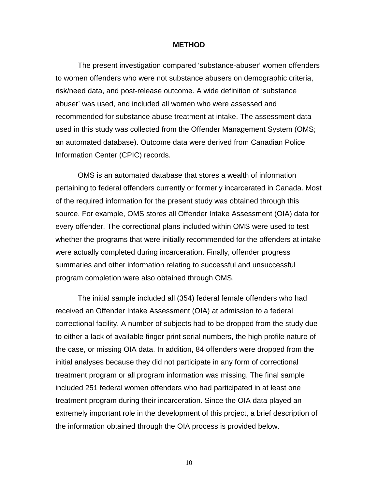#### **METHOD**

The present investigation compared 'substance-abuser' women offenders to women offenders who were not substance abusers on demographic criteria, risk/need data, and post-release outcome. A wide definition of 'substance abuser' was used, and included all women who were assessed and recommended for substance abuse treatment at intake. The assessment data used in this study was collected from the Offender Management System (OMS; an automated database). Outcome data were derived from Canadian Police Information Center (CPIC) records.

OMS is an automated database that stores a wealth of information pertaining to federal offenders currently or formerly incarcerated in Canada. Most of the required information for the present study was obtained through this source. For example, OMS stores all Offender Intake Assessment (OIA) data for every offender. The correctional plans included within OMS were used to test whether the programs that were initially recommended for the offenders at intake were actually completed during incarceration. Finally, offender progress summaries and other information relating to successful and unsuccessful program completion were also obtained through OMS.

The initial sample included all (354) federal female offenders who had received an Offender Intake Assessment (OIA) at admission to a federal correctional facility. A number of subjects had to be dropped from the study due to either a lack of available finger print serial numbers, the high profile nature of the case, or missing OIA data. In addition, 84 offenders were dropped from the initial analyses because they did not participate in any form of correctional treatment program or all program information was missing. The final sample included 251 federal women offenders who had participated in at least one treatment program during their incarceration. Since the OIA data played an extremely important role in the development of this project, a brief description of the information obtained through the OIA process is provided below.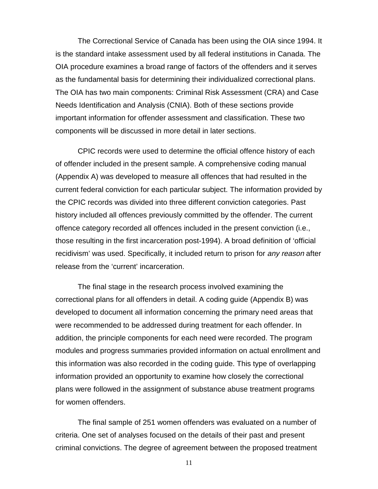The Correctional Service of Canada has been using the OIA since 1994. It is the standard intake assessment used by all federal institutions in Canada. The OIA procedure examines a broad range of factors of the offenders and it serves as the fundamental basis for determining their individualized correctional plans. The OIA has two main components: Criminal Risk Assessment (CRA) and Case Needs Identification and Analysis (CNIA). Both of these sections provide important information for offender assessment and classification. These two components will be discussed in more detail in later sections.

CPIC records were used to determine the official offence history of each of offender included in the present sample. A comprehensive coding manual (Appendix A) was developed to measure all offences that had resulted in the current federal conviction for each particular subject. The information provided by the CPIC records was divided into three different conviction categories. Past history included all offences previously committed by the offender. The current offence category recorded all offences included in the present conviction (i.e., those resulting in the first incarceration post-1994). A broad definition of 'official recidivism' was used. Specifically, it included return to prison for any reason after release from the 'current' incarceration.

The final stage in the research process involved examining the correctional plans for all offenders in detail. A coding guide (Appendix B) was developed to document all information concerning the primary need areas that were recommended to be addressed during treatment for each offender. In addition, the principle components for each need were recorded. The program modules and progress summaries provided information on actual enrollment and this information was also recorded in the coding guide. This type of overlapping information provided an opportunity to examine how closely the correctional plans were followed in the assignment of substance abuse treatment programs for women offenders.

The final sample of 251 women offenders was evaluated on a number of criteria. One set of analyses focused on the details of their past and present criminal convictions. The degree of agreement between the proposed treatment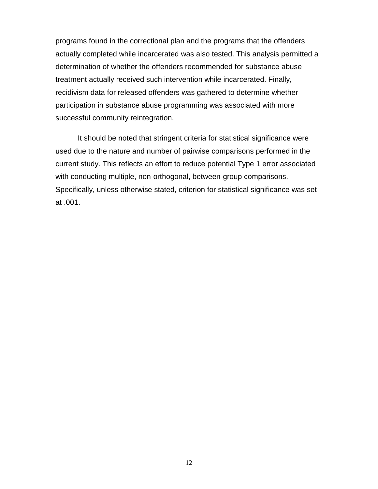programs found in the correctional plan and the programs that the offenders actually completed while incarcerated was also tested. This analysis permitted a determination of whether the offenders recommended for substance abuse treatment actually received such intervention while incarcerated. Finally, recidivism data for released offenders was gathered to determine whether participation in substance abuse programming was associated with more successful community reintegration.

It should be noted that stringent criteria for statistical significance were used due to the nature and number of pairwise comparisons performed in the current study. This reflects an effort to reduce potential Type 1 error associated with conducting multiple, non-orthogonal, between-group comparisons. Specifically, unless otherwise stated, criterion for statistical significance was set at .001.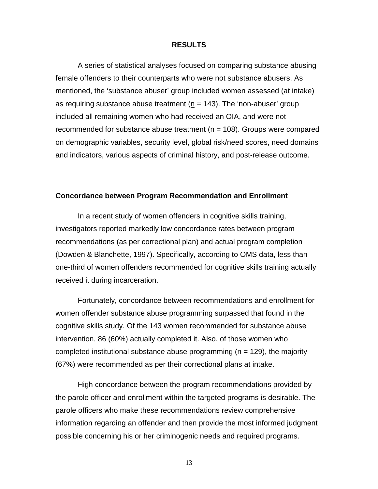#### **RESULTS**

A series of statistical analyses focused on comparing substance abusing female offenders to their counterparts who were not substance abusers. As mentioned, the 'substance abuser' group included women assessed (at intake) as requiring substance abuse treatment ( $n = 143$ ). The 'non-abuser' group included all remaining women who had received an OIA, and were not recommended for substance abuse treatment (n = 108). Groups were compared on demographic variables, security level, global risk/need scores, need domains and indicators, various aspects of criminal history, and post-release outcome.

#### **Concordance between Program Recommendation and Enrollment**

In a recent study of women offenders in cognitive skills training, investigators reported markedly low concordance rates between program recommendations (as per correctional plan) and actual program completion (Dowden & Blanchette, 1997). Specifically, according to OMS data, less than one-third of women offenders recommended for cognitive skills training actually received it during incarceration.

Fortunately, concordance between recommendations and enrollment for women offender substance abuse programming surpassed that found in the cognitive skills study. Of the 143 women recommended for substance abuse intervention, 86 (60%) actually completed it. Also, of those women who completed institutional substance abuse programming ( $n = 129$ ), the majority (67%) were recommended as per their correctional plans at intake.

High concordance between the program recommendations provided by the parole officer and enrollment within the targeted programs is desirable. The parole officers who make these recommendations review comprehensive information regarding an offender and then provide the most informed judgment possible concerning his or her criminogenic needs and required programs.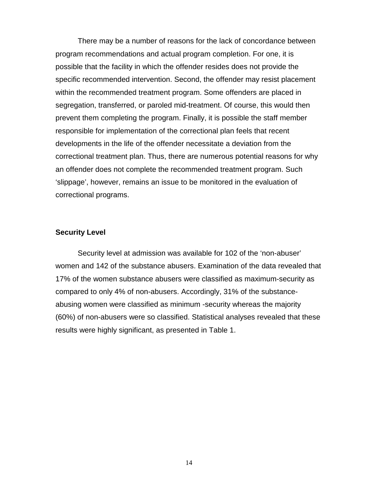There may be a number of reasons for the lack of concordance between program recommendations and actual program completion. For one, it is possible that the facility in which the offender resides does not provide the specific recommended intervention. Second, the offender may resist placement within the recommended treatment program. Some offenders are placed in segregation, transferred, or paroled mid-treatment. Of course, this would then prevent them completing the program. Finally, it is possible the staff member responsible for implementation of the correctional plan feels that recent developments in the life of the offender necessitate a deviation from the correctional treatment plan. Thus, there are numerous potential reasons for why an offender does not complete the recommended treatment program. Such 'slippage', however, remains an issue to be monitored in the evaluation of correctional programs.

#### **Security Level**

Security level at admission was available for 102 of the 'non-abuser' women and 142 of the substance abusers. Examination of the data revealed that 17% of the women substance abusers were classified as maximum-security as compared to only 4% of non-abusers. Accordingly, 31% of the substanceabusing women were classified as minimum -security whereas the majority (60%) of non-abusers were so classified. Statistical analyses revealed that these results were highly significant, as presented in Table 1.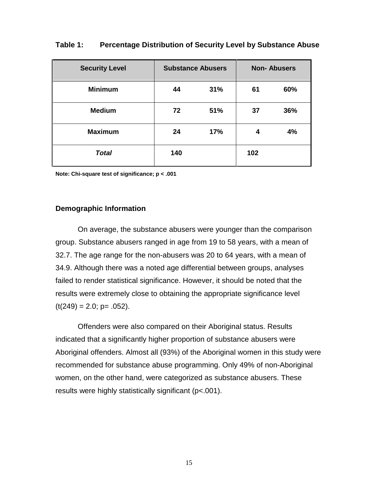| <b>Security Level</b> | <b>Substance Abusers</b> |     |     | <b>Non-Abusers</b> |
|-----------------------|--------------------------|-----|-----|--------------------|
| <b>Minimum</b>        | 44                       | 31% | 61  | 60%                |
| <b>Medium</b>         | 72                       | 51% | 37  | 36%                |
| <b>Maximum</b>        | 24                       | 17% | 4   | 4%                 |
| <b>Total</b>          | 140                      |     | 102 |                    |

#### **Table 1: Percentage Distribution of Security Level by Substance Abuse**

**Note: Chi-square test of significance; p < .001**

#### **Demographic Information**

On average, the substance abusers were younger than the comparison group. Substance abusers ranged in age from 19 to 58 years, with a mean of 32.7. The age range for the non-abusers was 20 to 64 years, with a mean of 34.9. Although there was a noted age differential between groups, analyses failed to render statistical significance. However, it should be noted that the results were extremely close to obtaining the appropriate significance level  $(t(249) = 2.0; p = .052)$ .

Offenders were also compared on their Aboriginal status. Results indicated that a significantly higher proportion of substance abusers were Aboriginal offenders. Almost all (93%) of the Aboriginal women in this study were recommended for substance abuse programming. Only 49% of non-Aboriginal women, on the other hand, were categorized as substance abusers. These results were highly statistically significant (p<.001).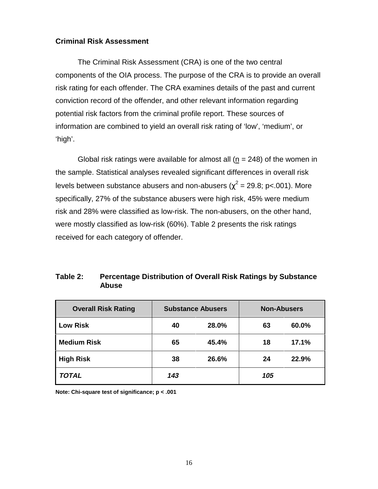#### **Criminal Risk Assessment**

The Criminal Risk Assessment (CRA) is one of the two central components of the OIA process. The purpose of the CRA is to provide an overall risk rating for each offender. The CRA examines details of the past and current conviction record of the offender, and other relevant information regarding potential risk factors from the criminal profile report. These sources of information are combined to yield an overall risk rating of 'low', 'medium', or 'high'.

Global risk ratings were available for almost all ( $n = 248$ ) of the women in the sample. Statistical analyses revealed significant differences in overall risk levels between substance abusers and non-abusers ( $\chi^2$  = 29.8; p<.001). More specifically, 27% of the substance abusers were high risk, 45% were medium risk and 28% were classified as low-risk. The non-abusers, on the other hand, were mostly classified as low-risk (60%). Table 2 presents the risk ratings received for each category of offender.

### **Table 2: Percentage Distribution of Overall Risk Ratings by Substance Abuse**

| <b>Overall Risk Rating</b> |     | <b>Substance Abusers</b> | <b>Non-Abusers</b> |       |
|----------------------------|-----|--------------------------|--------------------|-------|
| <b>Low Risk</b>            | 40  | 28.0%                    | 63                 | 60.0% |
| <b>Medium Risk</b>         | 65  | 45.4%                    | 18                 | 17.1% |
| <b>High Risk</b>           | 38  | 26.6%                    | 24                 | 22.9% |
| TOTAL                      | 143 |                          | 105                |       |

**Note: Chi-square test of significance; p < .001**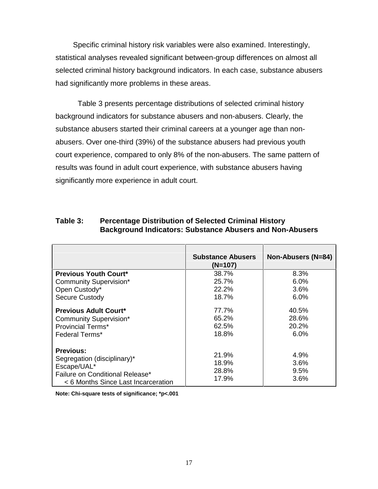Specific criminal history risk variables were also examined. Interestingly, statistical analyses revealed significant between-group differences on almost all selected criminal history background indicators. In each case, substance abusers had significantly more problems in these areas.

Table 3 presents percentage distributions of selected criminal history background indicators for substance abusers and non-abusers. Clearly, the substance abusers started their criminal careers at a younger age than nonabusers. Over one-third (39%) of the substance abusers had previous youth court experience, compared to only 8% of the non-abusers. The same pattern of results was found in adult court experience, with substance abusers having significantly more experience in adult court.

| Table 3: | <b>Percentage Distribution of Selected Criminal History</b><br><b>Background Indicators: Substance Abusers and Non-Abusers</b> |
|----------|--------------------------------------------------------------------------------------------------------------------------------|
|          |                                                                                                                                |

|                                     | <b>Substance Abusers</b><br>$(N=107)$ | Non-Abusers (N=84) |
|-------------------------------------|---------------------------------------|--------------------|
| <b>Previous Youth Court*</b>        | 38.7%                                 | 8.3%               |
| <b>Community Supervision*</b>       | 25.7%                                 | 6.0%               |
| Open Custody*                       | 22.2%                                 | 3.6%               |
| <b>Secure Custody</b>               | 18.7%                                 | 6.0%               |
| <b>Previous Adult Court*</b>        | 77.7%                                 | 40.5%              |
| <b>Community Supervision*</b>       | 65.2%                                 | 28.6%              |
| <b>Provincial Terms*</b>            | 62.5%                                 | 20.2%              |
| <b>Federal Terms*</b>               | 18.8%                                 | 6.0%               |
| <b>Previous:</b>                    |                                       |                    |
| Segregation (disciplinary)*         | 21.9%                                 | 4.9%               |
| Escape/UAL*                         | 18.9%                                 | $3.6\%$            |
| Failure on Conditional Release*     | 28.8%                                 | 9.5%               |
| < 6 Months Since Last Incarceration | 17.9%                                 | $3.6\%$            |

**Note: Chi-square tests of significance; \*p<.001**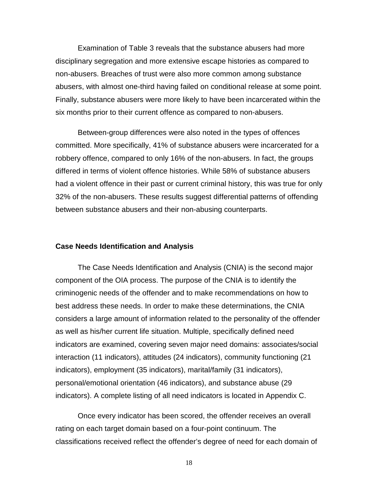Examination of Table 3 reveals that the substance abusers had more disciplinary segregation and more extensive escape histories as compared to non-abusers. Breaches of trust were also more common among substance abusers, with almost one-third having failed on conditional release at some point. Finally, substance abusers were more likely to have been incarcerated within the six months prior to their current offence as compared to non-abusers.

Between-group differences were also noted in the types of offences committed. More specifically, 41% of substance abusers were incarcerated for a robbery offence, compared to only 16% of the non-abusers. In fact, the groups differed in terms of violent offence histories. While 58% of substance abusers had a violent offence in their past or current criminal history, this was true for only 32% of the non-abusers. These results suggest differential patterns of offending between substance abusers and their non-abusing counterparts.

#### **Case Needs Identification and Analysis**

The Case Needs Identification and Analysis (CNIA) is the second major component of the OIA process. The purpose of the CNIA is to identify the criminogenic needs of the offender and to make recommendations on how to best address these needs. In order to make these determinations, the CNIA considers a large amount of information related to the personality of the offender as well as his/her current life situation. Multiple, specifically defined need indicators are examined, covering seven major need domains: associates/social interaction (11 indicators), attitudes (24 indicators), community functioning (21 indicators), employment (35 indicators), marital/family (31 indicators), personal/emotional orientation (46 indicators), and substance abuse (29 indicators). A complete listing of all need indicators is located in Appendix C.

Once every indicator has been scored, the offender receives an overall rating on each target domain based on a four-point continuum. The classifications received reflect the offender's degree of need for each domain of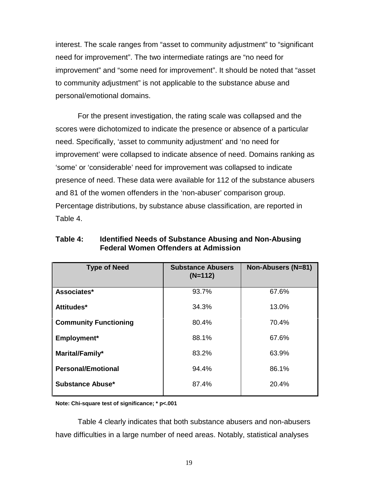interest. The scale ranges from "asset to community adjustment" to "significant need for improvement". The two intermediate ratings are "no need for improvement" and "some need for improvement". It should be noted that "asset to community adjustment" is not applicable to the substance abuse and personal/emotional domains.

For the present investigation, the rating scale was collapsed and the scores were dichotomized to indicate the presence or absence of a particular need. Specifically, 'asset to community adjustment' and 'no need for improvement' were collapsed to indicate absence of need. Domains ranking as 'some' or 'considerable' need for improvement was collapsed to indicate presence of need. These data were available for 112 of the substance abusers and 81 of the women offenders in the 'non-abuser' comparison group. Percentage distributions, by substance abuse classification, are reported in Table 4.

| <b>Type of Need</b>          | <b>Substance Abusers</b><br>$(N=112)$ | Non-Abusers (N=81) |
|------------------------------|---------------------------------------|--------------------|
| Associates*                  | 93.7%                                 | 67.6%              |
| Attitudes*                   | 34.3%                                 | 13.0%              |
| <b>Community Functioning</b> | 80.4%                                 | 70.4%              |
| Employment*                  | 88.1%                                 | 67.6%              |
| Marital/Family*              | 83.2%                                 | 63.9%              |
| <b>Personal/Emotional</b>    | 94.4%                                 | 86.1%              |
| <b>Substance Abuse*</b>      | 87.4%                                 | 20.4%              |

**Table 4: Identified Needs of Substance Abusing and Non-Abusing Federal Women Offenders at Admission**

**Note: Chi-square test of significance; \* p<.001**

Table 4 clearly indicates that both substance abusers and non-abusers have difficulties in a large number of need areas. Notably, statistical analyses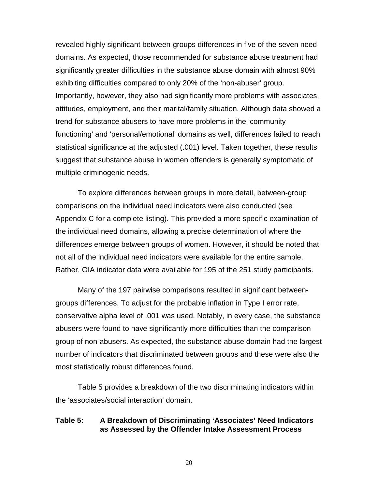revealed highly significant between-groups differences in five of the seven need domains. As expected, those recommended for substance abuse treatment had significantly greater difficulties in the substance abuse domain with almost 90% exhibiting difficulties compared to only 20% of the 'non-abuser' group. Importantly, however, they also had significantly more problems with associates, attitudes, employment, and their marital/family situation. Although data showed a trend for substance abusers to have more problems in the 'community functioning' and 'personal/emotional' domains as well, differences failed to reach statistical significance at the adjusted (.001) level. Taken together, these results suggest that substance abuse in women offenders is generally symptomatic of multiple criminogenic needs.

To explore differences between groups in more detail, between-group comparisons on the individual need indicators were also conducted (see Appendix C for a complete listing). This provided a more specific examination of the individual need domains, allowing a precise determination of where the differences emerge between groups of women. However, it should be noted that not all of the individual need indicators were available for the entire sample. Rather, OIA indicator data were available for 195 of the 251 study participants.

Many of the 197 pairwise comparisons resulted in significant betweengroups differences. To adjust for the probable inflation in Type I error rate, conservative alpha level of .001 was used. Notably, in every case, the substance abusers were found to have significantly more difficulties than the comparison group of non-abusers. As expected, the substance abuse domain had the largest number of indicators that discriminated between groups and these were also the most statistically robust differences found.

Table 5 provides a breakdown of the two discriminating indicators within the 'associates/social interaction' domain.

### **Table 5: A Breakdown of Discriminating 'Associates' Need Indicators as Assessed by the Offender Intake Assessment Process**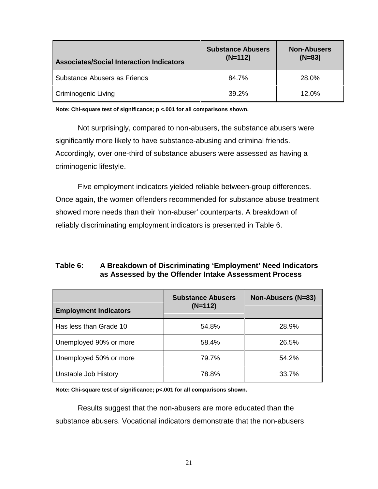| <b>Associates/Social Interaction Indicators</b> | <b>Substance Abusers</b><br>$(N=112)$ | <b>Non-Abusers</b><br>$(N=83)$ |
|-------------------------------------------------|---------------------------------------|--------------------------------|
| Substance Abusers as Friends                    | 84.7%                                 | 28.0%                          |
| <b>Criminogenic Living</b>                      | 39.2%                                 | 12.0%                          |

**Note: Chi-square test of significance; p <.001 for all comparisons shown.**

Not surprisingly, compared to non-abusers, the substance abusers were significantly more likely to have substance-abusing and criminal friends. Accordingly, over one-third of substance abusers were assessed as having a criminogenic lifestyle.

Five employment indicators yielded reliable between-group differences. Once again, the women offenders recommended for substance abuse treatment showed more needs than their 'non-abuser' counterparts. A breakdown of reliably discriminating employment indicators is presented in Table 6.

### **Table 6: A Breakdown of Discriminating 'Employment' Need Indicators as Assessed by the Offender Intake Assessment Process**

| <b>Employment Indicators</b> | <b>Substance Abusers</b><br>$(N=112)$ | Non-Abusers (N=83) |
|------------------------------|---------------------------------------|--------------------|
| Has less than Grade 10       | 54.8%                                 | 28.9%              |
| Unemployed 90% or more       | 58.4%                                 | 26.5%              |
| Unemployed 50% or more       | 79.7%                                 | 54.2%              |
| Unstable Job History         | 78.8%                                 | 33.7%              |

**Note: Chi-square test of significance; p<.001 for all comparisons shown.**

Results suggest that the non-abusers are more educated than the substance abusers. Vocational indicators demonstrate that the non-abusers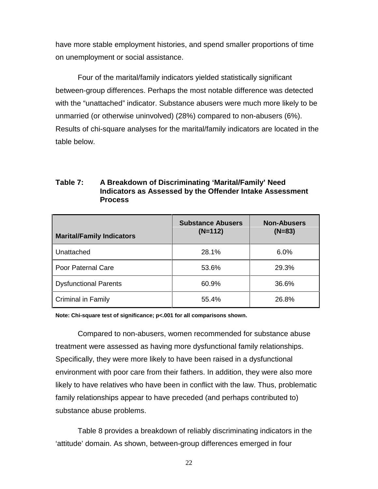have more stable employment histories, and spend smaller proportions of time on unemployment or social assistance.

Four of the marital/family indicators yielded statistically significant between-group differences. Perhaps the most notable difference was detected with the "unattached" indicator. Substance abusers were much more likely to be unmarried (or otherwise uninvolved) (28%) compared to non-abusers (6%). Results of chi-square analyses for the marital/family indicators are located in the table below.

### **Table 7: A Breakdown of Discriminating 'Marital/Family' Need Indicators as Assessed by the Offender Intake Assessment Process**

| <b>Marital/Family Indicators</b> | <b>Substance Abusers</b><br>$(N=112)$ | <b>Non-Abusers</b><br>$(N=83)$ |
|----------------------------------|---------------------------------------|--------------------------------|
| Unattached                       | 28.1%                                 | 6.0%                           |
| Poor Paternal Care               | 53.6%                                 | 29.3%                          |
| <b>Dysfunctional Parents</b>     | 60.9%                                 | 36.6%                          |
| <b>Criminal in Family</b>        | 55.4%                                 | 26.8%                          |

**Note: Chi-square test of significance; p<.001 for all comparisons shown.**

Compared to non-abusers, women recommended for substance abuse treatment were assessed as having more dysfunctional family relationships. Specifically, they were more likely to have been raised in a dysfunctional environment with poor care from their fathers. In addition, they were also more likely to have relatives who have been in conflict with the law. Thus, problematic family relationships appear to have preceded (and perhaps contributed to) substance abuse problems.

Table 8 provides a breakdown of reliably discriminating indicators in the 'attitude' domain. As shown, between-group differences emerged in four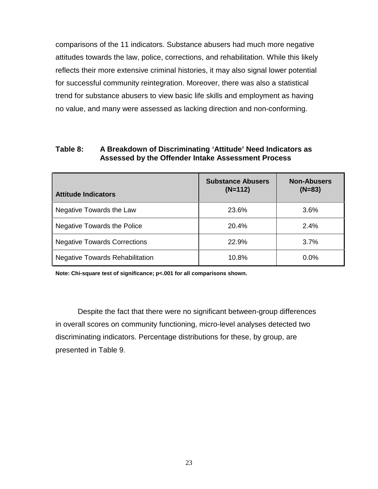comparisons of the 11 indicators. Substance abusers had much more negative attitudes towards the law, police, corrections, and rehabilitation. While this likely reflects their more extensive criminal histories, it may also signal lower potential for successful community reintegration. Moreover, there was also a statistical trend for substance abusers to view basic life skills and employment as having no value, and many were assessed as lacking direction and non-conforming.

#### **Table 8: A Breakdown of Discriminating 'Attitude' Need Indicators as Assessed by the Offender Intake Assessment Process**

| <b>Attitude Indicators</b>             | <b>Substance Abusers</b><br>$(N=112)$ | <b>Non-Abusers</b><br>$(N=83)$ |
|----------------------------------------|---------------------------------------|--------------------------------|
| Negative Towards the Law               | 23.6%                                 | 3.6%                           |
| <b>Negative Towards the Police</b>     | 20.4%                                 | 2.4%                           |
| <b>Negative Towards Corrections</b>    | 22.9%                                 | 3.7%                           |
| <b>Negative Towards Rehabilitation</b> | 10.8%                                 | 0.0%                           |

**Note: Chi-square test of significance; p<.001 for all comparisons shown.**

Despite the fact that there were no significant between-group differences in overall scores on community functioning, micro-level analyses detected two discriminating indicators. Percentage distributions for these, by group, are presented in Table 9.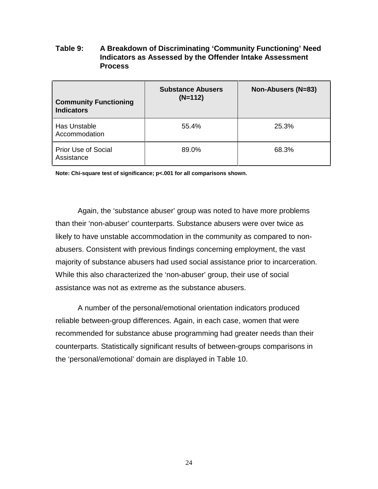### **Table 9: A Breakdown of Discriminating 'Community Functioning' Need Indicators as Assessed by the Offender Intake Assessment Process**

| <b>Community Functioning</b><br><b>Indicators</b> | <b>Substance Abusers</b><br>$(N=112)$ | Non-Abusers (N=83) |
|---------------------------------------------------|---------------------------------------|--------------------|
| Has Unstable<br>Accommodation                     | 55.4%                                 | 25.3%              |
| <b>Prior Use of Social</b><br>Assistance          | 89.0%                                 | 68.3%              |

**Note: Chi-square test of significance; p<.001 for all comparisons shown.**

Again, the 'substance abuser' group was noted to have more problems than their 'non-abuser' counterparts. Substance abusers were over twice as likely to have unstable accommodation in the community as compared to nonabusers. Consistent with previous findings concerning employment, the vast majority of substance abusers had used social assistance prior to incarceration. While this also characterized the 'non-abuser' group, their use of social assistance was not as extreme as the substance abusers.

A number of the personal/emotional orientation indicators produced reliable between-group differences. Again, in each case, women that were recommended for substance abuse programming had greater needs than their counterparts. Statistically significant results of between-groups comparisons in the 'personal/emotional' domain are displayed in Table 10.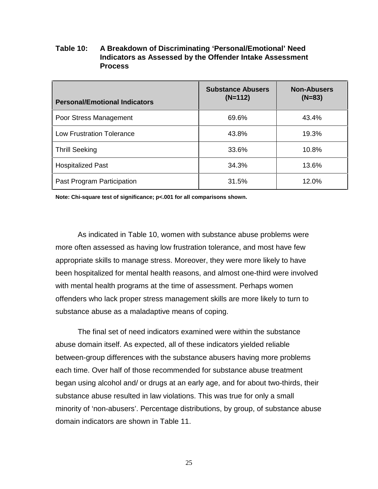### **Table 10: A Breakdown of Discriminating 'Personal/Emotional' Need Indicators as Assessed by the Offender Intake Assessment Process**

| <b>Personal/Emotional Indicators</b> | <b>Substance Abusers</b><br>$(N=112)$ | <b>Non-Abusers</b><br>$(N=83)$ |
|--------------------------------------|---------------------------------------|--------------------------------|
| Poor Stress Management               | 69.6%                                 | 43.4%                          |
| <b>Low Frustration Tolerance</b>     | 43.8%                                 | 19.3%                          |
| Thrill Seeking                       | 33.6%                                 | 10.8%                          |
| <b>Hospitalized Past</b>             | 34.3%                                 | 13.6%                          |
| <b>Past Program Participation</b>    | 31.5%                                 | 12.0%                          |

**Note: Chi-square test of significance; p<.001 for all comparisons shown.**

As indicated in Table 10, women with substance abuse problems were more often assessed as having low frustration tolerance, and most have few appropriate skills to manage stress. Moreover, they were more likely to have been hospitalized for mental health reasons, and almost one-third were involved with mental health programs at the time of assessment. Perhaps women offenders who lack proper stress management skills are more likely to turn to substance abuse as a maladaptive means of coping.

The final set of need indicators examined were within the substance abuse domain itself. As expected, all of these indicators yielded reliable between-group differences with the substance abusers having more problems each time. Over half of those recommended for substance abuse treatment began using alcohol and/ or drugs at an early age, and for about two-thirds, their substance abuse resulted in law violations. This was true for only a small minority of 'non-abusers'. Percentage distributions, by group, of substance abuse domain indicators are shown in Table 11.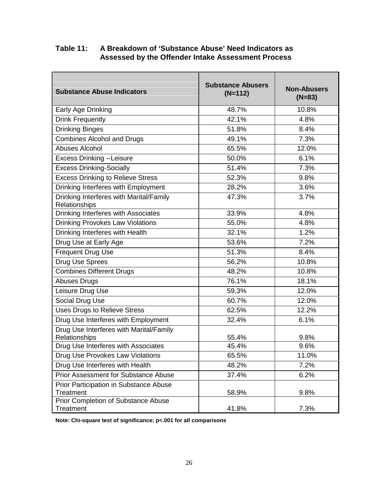| Table 11: | A Breakdown of 'Substance Abuse' Need Indicators as |
|-----------|-----------------------------------------------------|
|           | Assessed by the Offender Intake Assessment Process  |

| <b>Substance Abuse Indicators</b>                        | <b>Substance Abusers</b><br>$(N=112)$ | <b>Non-Abusers</b><br>$(N=83)$ |
|----------------------------------------------------------|---------------------------------------|--------------------------------|
| Early Age Drinking                                       | 48.7%                                 | 10.8%                          |
| <b>Drink Frequently</b>                                  | 42.1%                                 | 4.8%                           |
| <b>Drinking Binges</b>                                   | 51.8%                                 | 8.4%                           |
| <b>Combines Alcohol and Drugs</b>                        | 49.1%                                 | 7.3%                           |
| <b>Abuses Alcohol</b>                                    | 65.5%                                 | 12.0%                          |
| <b>Excess Drinking --Leisure</b>                         | 50.0%                                 | 6.1%                           |
| <b>Excess Drinking-Socially</b>                          | 51.4%                                 | 7.3%                           |
| <b>Excess Drinking to Relieve Stress</b>                 | 52.3%                                 | 9.8%                           |
| Drinking Interferes with Employment                      | 28.2%                                 | 3.6%                           |
| Drinking Interferes with Marital/Family<br>Relationships | 47.3%                                 | 3.7%                           |
| Drinking Interferes with Associates                      | 33.9%                                 | 4.8%                           |
| <b>Drinking Provokes Law Violations</b>                  | 55.0%                                 | 4.8%                           |
| Drinking Interferes with Health                          | 32.1%                                 | 1.2%                           |
| Drug Use at Early Age                                    | 53.6%                                 | 7.2%                           |
| <b>Frequent Drug Use</b>                                 | 51.3%                                 | 8.4%                           |
| Drug Use Sprees                                          | 56.2%                                 | 10.8%                          |
| <b>Combines Different Drugs</b>                          | 48.2%                                 | 10.8%                          |
| <b>Abuses Drugs</b>                                      | 76.1%                                 | 18.1%                          |
| Leisure Drug Use                                         | 59.3%                                 | 12.0%                          |
| Social Drug Use                                          | 60.7%                                 | 12.0%                          |
| <b>Uses Drugs to Relieve Stress</b>                      | 62.5%                                 | 12.2%                          |
| Drug Use Interferes with Employment                      | 32.4%                                 | 6.1%                           |
| Drug Use Interferes with Marital/Family<br>Relationships | 55.4%                                 | 9.8%                           |
| Drug Use Interferes with Associates                      | 45.4%                                 | 9.6%                           |
| Drug Use Provokes Law Violations                         | 65.5%                                 | 11.0%                          |
| Drug Use Interferes with Health                          | 48.2%                                 | 7.2%                           |
| <b>Prior Assessment for Substance Abuse</b>              | 37.4%                                 | 6.2%                           |
| Prior Participation in Substance Abuse<br>Treatment      | 58.9%                                 | 9.8%                           |
| Prior Completion of Substance Abuse<br>Treatment         | 41.8%                                 | 7.3%                           |

**Note: Chi-square test of significance; p<.001 for all comparisons**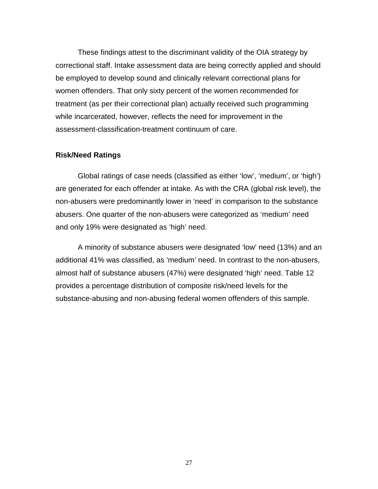These findings attest to the discriminant validity of the OIA strategy by correctional staff. Intake assessment data are being correctly applied and should be employed to develop sound and clinically relevant correctional plans for women offenders. That only sixty percent of the women recommended for treatment (as per their correctional plan) actually received such programming while incarcerated, however, reflects the need for improvement in the assessment-classification-treatment continuum of care.

#### **Risk/Need Ratings**

Global ratings of case needs (classified as either 'low', 'medium', or 'high') are generated for each offender at intake. As with the CRA (global risk level), the non-abusers were predominantly lower in 'need' in comparison to the substance abusers. One quarter of the non-abusers were categorized as 'medium' need and only 19% were designated as 'high' need.

A minority of substance abusers were designated 'low' need (13%) and an additional 41% was classified, as 'medium' need. In contrast to the non-abusers, almost half of substance abusers (47%) were designated 'high' need. Table 12 provides a percentage distribution of composite risk/need levels for the substance-abusing and non-abusing federal women offenders of this sample.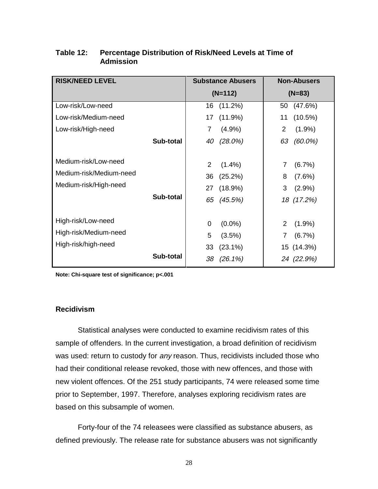| <b>RISK/NEED LEVEL</b>                                                   |           | <b>Substance Abusers</b>                                              | <b>Non-Abusers</b>                                               |
|--------------------------------------------------------------------------|-----------|-----------------------------------------------------------------------|------------------------------------------------------------------|
|                                                                          |           | $(N=112)$                                                             | $(N=83)$                                                         |
| Low-risk/Low-need                                                        |           | $(11.2\%)$<br>16                                                      | (47.6%)<br>50                                                    |
| Low-risk/Medium-need                                                     |           | 17<br>(11.9%)                                                         | $(10.5\%)$<br>11                                                 |
| Low-risk/High-need                                                       |           | 7<br>(4.9%                                                            | $\overline{2}$<br>$(1.9\%)$                                      |
|                                                                          | Sub-total | 40<br>(28.0%)                                                         | 63<br>$(60.0\%)$                                                 |
| Medium-risk/Low-need<br>Medium-risk/Medium-need<br>Medium-risk/High-need | Sub-total | 2<br>$(1.4\%)$<br>36<br>(25.2%)<br>27<br>(18.9%)<br>65<br>(45.5%)     | 7<br>$(6.7\%)$<br>8<br>$(7.6\%)$<br>3<br>$(2.9\%)$<br>18 (17.2%) |
| High-risk/Low-need<br>High-risk/Medium-need<br>High-risk/high-need       | Sub-total | 0<br>$(0.0\%)$<br>5<br>(3.5%)<br>33<br>$(23.1\%)$<br>38<br>$(26.1\%)$ | 2<br>$(1.9\%)$<br>$(6.7\%)$<br>7<br>15 (14.3%)<br>24 (22.9%)     |
|                                                                          |           |                                                                       |                                                                  |

### **Table 12: Percentage Distribution of Risk/Need Levels at Time of Admission**

**Note: Chi-square test of significance; p<.001**

### **Recidivism**

Statistical analyses were conducted to examine recidivism rates of this sample of offenders. In the current investigation, a broad definition of recidivism was used: return to custody for *any* reason. Thus, recidivists included those who had their conditional release revoked, those with new offences, and those with new violent offences. Of the 251 study participants, 74 were released some time prior to September, 1997. Therefore, analyses exploring recidivism rates are based on this subsample of women.

Forty-four of the 74 releasees were classified as substance abusers, as defined previously. The release rate for substance abusers was not significantly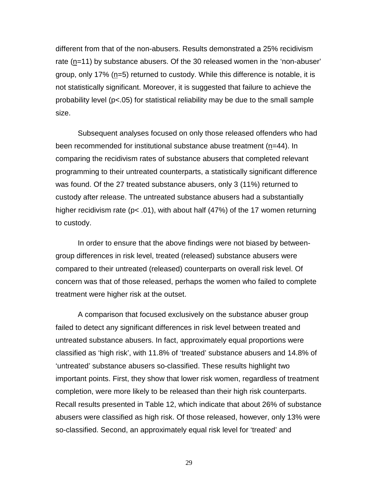different from that of the non-abusers. Results demonstrated a 25% recidivism rate (n=11) by substance abusers. Of the 30 released women in the 'non-abuser' group, only 17% (n=5) returned to custody. While this difference is notable, it is not statistically significant. Moreover, it is suggested that failure to achieve the probability level ( $p<0.05$ ) for statistical reliability may be due to the small sample size.

Subsequent analyses focused on only those released offenders who had been recommended for institutional substance abuse treatment (n=44). In comparing the recidivism rates of substance abusers that completed relevant programming to their untreated counterparts, a statistically significant difference was found. Of the 27 treated substance abusers, only 3 (11%) returned to custody after release. The untreated substance abusers had a substantially higher recidivism rate (p< .01), with about half (47%) of the 17 women returning to custody.

In order to ensure that the above findings were not biased by betweengroup differences in risk level, treated (released) substance abusers were compared to their untreated (released) counterparts on overall risk level. Of concern was that of those released, perhaps the women who failed to complete treatment were higher risk at the outset.

A comparison that focused exclusively on the substance abuser group failed to detect any significant differences in risk level between treated and untreated substance abusers. In fact, approximately equal proportions were classified as 'high risk', with 11.8% of 'treated' substance abusers and 14.8% of 'untreated' substance abusers so-classified. These results highlight two important points. First, they show that lower risk women, regardless of treatment completion, were more likely to be released than their high risk counterparts. Recall results presented in Table 12, which indicate that about 26% of substance abusers were classified as high risk. Of those released, however, only 13% were so-classified. Second, an approximately equal risk level for 'treated' and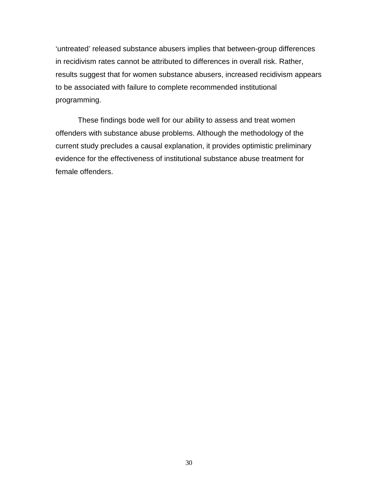'untreated' released substance abusers implies that between-group differences in recidivism rates cannot be attributed to differences in overall risk. Rather, results suggest that for women substance abusers, increased recidivism appears to be associated with failure to complete recommended institutional programming.

These findings bode well for our ability to assess and treat women offenders with substance abuse problems. Although the methodology of the current study precludes a causal explanation, it provides optimistic preliminary evidence for the effectiveness of institutional substance abuse treatment for female offenders.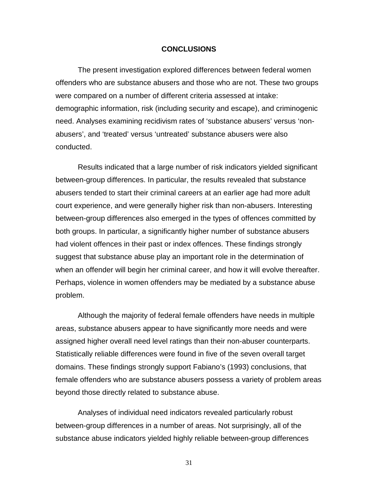#### **CONCLUSIONS**

The present investigation explored differences between federal women offenders who are substance abusers and those who are not. These two groups were compared on a number of different criteria assessed at intake: demographic information, risk (including security and escape), and criminogenic need. Analyses examining recidivism rates of 'substance abusers' versus 'nonabusers', and 'treated' versus 'untreated' substance abusers were also conducted.

Results indicated that a large number of risk indicators yielded significant between-group differences. In particular, the results revealed that substance abusers tended to start their criminal careers at an earlier age had more adult court experience, and were generally higher risk than non-abusers. Interesting between-group differences also emerged in the types of offences committed by both groups. In particular, a significantly higher number of substance abusers had violent offences in their past or index offences. These findings strongly suggest that substance abuse play an important role in the determination of when an offender will begin her criminal career, and how it will evolve thereafter. Perhaps, violence in women offenders may be mediated by a substance abuse problem.

Although the majority of federal female offenders have needs in multiple areas, substance abusers appear to have significantly more needs and were assigned higher overall need level ratings than their non-abuser counterparts. Statistically reliable differences were found in five of the seven overall target domains. These findings strongly support Fabiano's (1993) conclusions, that female offenders who are substance abusers possess a variety of problem areas beyond those directly related to substance abuse.

Analyses of individual need indicators revealed particularly robust between-group differences in a number of areas. Not surprisingly, all of the substance abuse indicators yielded highly reliable between-group differences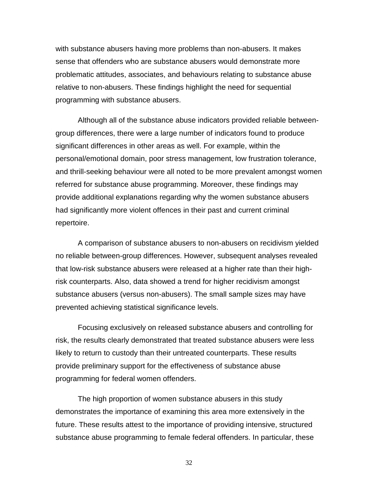with substance abusers having more problems than non-abusers. It makes sense that offenders who are substance abusers would demonstrate more problematic attitudes, associates, and behaviours relating to substance abuse relative to non-abusers. These findings highlight the need for sequential programming with substance abusers.

Although all of the substance abuse indicators provided reliable betweengroup differences, there were a large number of indicators found to produce significant differences in other areas as well. For example, within the personal/emotional domain, poor stress management, low frustration tolerance, and thrill-seeking behaviour were all noted to be more prevalent amongst women referred for substance abuse programming. Moreover, these findings may provide additional explanations regarding why the women substance abusers had significantly more violent offences in their past and current criminal repertoire.

A comparison of substance abusers to non-abusers on recidivism yielded no reliable between-group differences. However, subsequent analyses revealed that low-risk substance abusers were released at a higher rate than their highrisk counterparts. Also, data showed a trend for higher recidivism amongst substance abusers (versus non-abusers). The small sample sizes may have prevented achieving statistical significance levels.

Focusing exclusively on released substance abusers and controlling for risk, the results clearly demonstrated that treated substance abusers were less likely to return to custody than their untreated counterparts. These results provide preliminary support for the effectiveness of substance abuse programming for federal women offenders.

The high proportion of women substance abusers in this study demonstrates the importance of examining this area more extensively in the future. These results attest to the importance of providing intensive, structured substance abuse programming to female federal offenders. In particular, these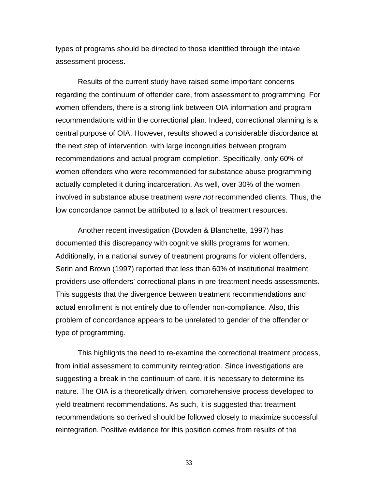types of programs should be directed to those identified through the intake assessment process.

Results of the current study have raised some important concerns regarding the continuum of offender care, from assessment to programming. For women offenders, there is a strong link between OIA information and program recommendations within the correctional plan. Indeed, correctional planning is a central purpose of OIA. However, results showed a considerable discordance at the next step of intervention, with large incongruities between program recommendations and actual program completion. Specifically, only 60% of women offenders who were recommended for substance abuse programming actually completed it during incarceration. As well, over 30% of the women involved in substance abuse treatment were not recommended clients. Thus, the low concordance cannot be attributed to a lack of treatment resources.

Another recent investigation (Dowden & Blanchette, 1997) has documented this discrepancy with cognitive skills programs for women. Additionally, in a national survey of treatment programs for violent offenders, Serin and Brown (1997) reported that less than 60% of institutional treatment providers use offenders' correctional plans in pre-treatment needs assessments. This suggests that the divergence between treatment recommendations and actual enrollment is not entirely due to offender non-compliance. Also, this problem of concordance appears to be unrelated to gender of the offender or type of programming.

This highlights the need to re-examine the correctional treatment process, from initial assessment to community reintegration. Since investigations are suggesting a break in the continuum of care, it is necessary to determine its nature. The OIA is a theoretically driven, comprehensive process developed to yield treatment recommendations. As such, it is suggested that treatment recommendations so derived should be followed closely to maximize successful reintegration. Positive evidence for this position comes from results of the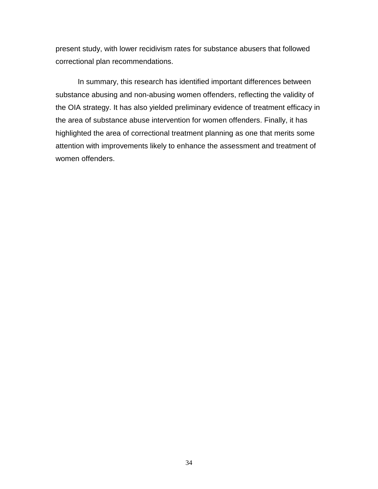present study, with lower recidivism rates for substance abusers that followed correctional plan recommendations.

In summary, this research has identified important differences between substance abusing and non-abusing women offenders, reflecting the validity of the OIA strategy. It has also yielded preliminary evidence of treatment efficacy in the area of substance abuse intervention for women offenders. Finally, it has highlighted the area of correctional treatment planning as one that merits some attention with improvements likely to enhance the assessment and treatment of women offenders.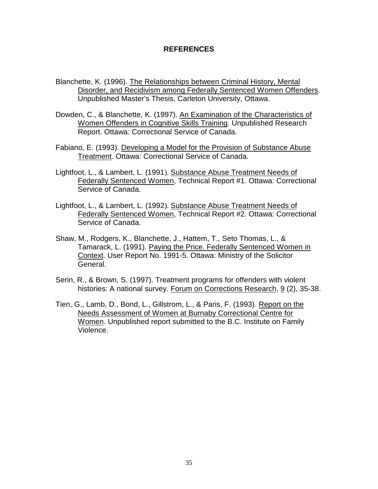#### **REFERENCES**

- Blanchette, K. (1996). The Relationships between Criminal History, Mental Disorder, and Recidivism among Federally Sentenced Women Offenders. Unpublished Master's Thesis, Carleton University, Ottawa.
- Dowden, C., & Blanchette, K. (1997). An Examination of the Characteristics of Women Offenders in Cognitive Skills Training. Unpublished Research Report. Ottawa: Correctional Service of Canada.
- Fabiano, E. (1993). Developing a Model for the Provision of Substance Abuse Treatment. Ottawa: Correctional Service of Canada.
- Lightfoot, L., & Lambert, L. (1991). Substance Abuse Treatment Needs of Federally Sentenced Women, Technical Report #1. Ottawa: Correctional Service of Canada.
- Lightfoot, L., & Lambert, L. (1992). Substance Abuse Treatment Needs of Federally Sentenced Women, Technical Report #2. Ottawa: Correctional Service of Canada.
- Shaw, M., Rodgers, K., Blanchette, J., Hattem, T., Seto Thomas, L., & Tamarack, L. (1991). Paying the Price. Federally Sentenced Women in Context. User Report No. 1991-5. Ottawa: Ministry of the Solicitor General.
- Serin, R., & Brown, S. (1997). Treatment programs for offenders with violent histories: A national survey. Forum on Corrections Research, 9 (2), 35-38.
- Tien, G., Lamb, D., Bond, L., Gillstrom, L., & Paris, F. (1993). Report on the Needs Assessment of Women at Burnaby Correctional Centre for Women. Unpublished report submitted to the B.C. Institute on Family Violence.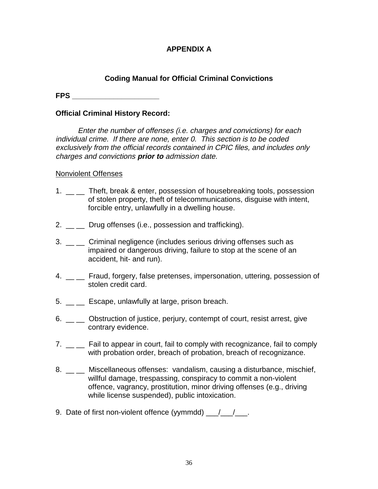### **APPENDIX A**

### **Coding Manual for Official Criminal Convictions**

**FPS \_\_\_\_\_\_\_\_\_\_\_\_\_\_\_\_\_\_\_\_\_**

### **Official Criminal History Record:**

Enter the number of offenses (i.e. charges and convictions) for each individual crime. If there are none, enter 0. This section is to be coded exclusively from the official records contained in CPIC files, and includes only charges and convictions **prior to** admission date.

### Nonviolent Offenses

- 1. \_ \_ Theft, break & enter, possession of housebreaking tools, possession of stolen property, theft of telecommunications, disguise with intent, forcible entry, unlawfully in a dwelling house.
- 2. Drug offenses (i.e., possession and trafficking).
- 3. \_\_ \_ Criminal negligence (includes serious driving offenses such as impaired or dangerous driving, failure to stop at the scene of an accident, hit- and run).
- 4. \_ Fraud, forgery, false pretenses, impersonation, uttering, possession of stolen credit card.
- 5. \_\_ \_\_ Escape, unlawfully at large, prison breach.
- 6. \_ cobstruction of justice, perjury, contempt of court, resist arrest, give contrary evidence.
- 7. \_ \_ Fail to appear in court, fail to comply with recognizance, fail to comply with probation order, breach of probation, breach of recognizance.
- 8. \_ \_ \_ Miscellaneous offenses: vandalism, causing a disturbance, mischief, willful damage, trespassing, conspiracy to commit a non-violent offence, vagrancy, prostitution, minor driving offenses (e.g., driving while license suspended), public intoxication.
- 9. Date of first non-violent offence (yymmdd) \_\_\_/\_\_\_/\_\_\_.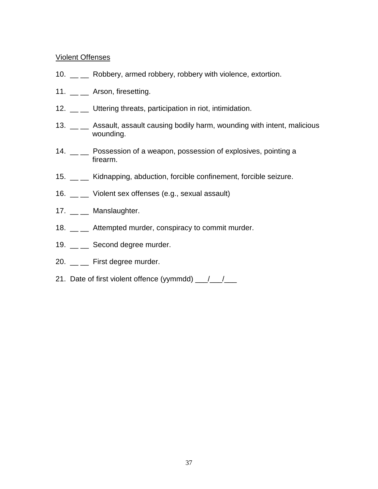### Violent Offenses

- 10. \_\_ \_\_ Robbery, armed robbery, robbery with violence, extortion.
- 11. \_\_ \_\_ Arson, firesetting.
- 12. \_\_ \_ Uttering threats, participation in riot, intimidation.
- 13. \_\_ \_\_ Assault, assault causing bodily harm, wounding with intent, malicious wounding.
- 14. \_\_ \_\_ Possession of a weapon, possession of explosives, pointing a firearm.
- 15. \_\_ \_\_ Kidnapping, abduction, forcible confinement, forcible seizure.
- 16. \_\_ \_\_ Violent sex offenses (e.g., sexual assault)
- 17. \_\_ \_\_ Manslaughter.
- 18. Attempted murder, conspiracy to commit murder.
- 19. \_\_ \_\_ Second degree murder.
- 20. \_\_ \_ First degree murder.
- 21. Date of first violent offence (yymmdd) \_\_/\_/\_\_/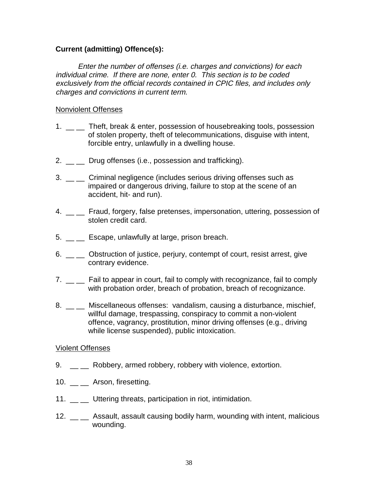### **Current (admitting) Offence(s):**

Enter the number of offenses (i.e. charges and convictions) for each individual crime. If there are none, enter 0. This section is to be coded exclusively from the official records contained in CPIC files, and includes only charges and convictions in current term.

### Nonviolent Offenses

- 1. \_ \_ Theft, break & enter, possession of housebreaking tools, possession of stolen property, theft of telecommunications, disguise with intent, forcible entry, unlawfully in a dwelling house.
- 2.  $\equiv$  Drug offenses (i.e., possession and trafficking).
- 3. \_\_ \_ Criminal negligence (includes serious driving offenses such as impaired or dangerous driving, failure to stop at the scene of an accident, hit- and run).
- 4. \_ Fraud, forgery, false pretenses, impersonation, uttering, possession of stolen credit card.
- 5. \_\_ \_\_ Escape, unlawfully at large, prison breach.
- 6. \_ cobstruction of justice, perjury, contempt of court, resist arrest, give contrary evidence.
- 7. \_ \_ Fail to appear in court, fail to comply with recognizance, fail to comply with probation order, breach of probation, breach of recognizance.
- 8. \_ \_ Miscellaneous offenses: vandalism, causing a disturbance, mischief, willful damage, trespassing, conspiracy to commit a non-violent offence, vagrancy, prostitution, minor driving offenses (e.g., driving while license suspended), public intoxication.

#### Violent Offenses

- 9. \_ \_ Robbery, armed robbery, robbery with violence, extortion.
- 10. **Arson, firesetting.**
- 11. Uttering threats, participation in riot, intimidation.
- 12. \_\_ \_ Assault, assault causing bodily harm, wounding with intent, malicious wounding.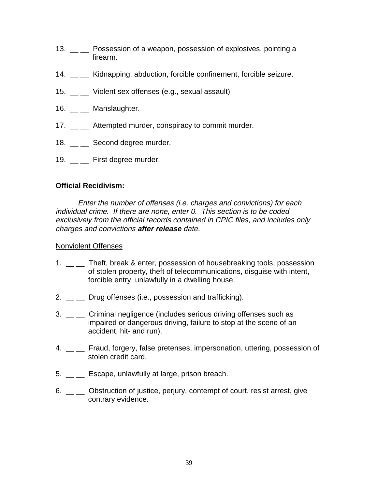- 13. \_\_ \_ Possession of a weapon, possession of explosives, pointing a firearm.
- 14. \_\_ \_\_ Kidnapping, abduction, forcible confinement, forcible seizure.
- 15. \_\_ \_\_ Violent sex offenses (e.g., sexual assault)
- 16. \_\_ \_\_ Manslaughter.
- 17. \_\_ \_ Attempted murder, conspiracy to commit murder.
- 18. \_\_ \_\_ Second degree murder.
- 19. First degree murder.

### **Official Recidivism:**

Enter the number of offenses (i.e. charges and convictions) for each individual crime. If there are none, enter 0. This section is to be coded exclusively from the official records contained in CPIC files, and includes only charges and convictions **after release** date.

### Nonviolent Offenses

- 1. \_ \_ Theft, break & enter, possession of housebreaking tools, possession of stolen property, theft of telecommunications, disguise with intent, forcible entry, unlawfully in a dwelling house.
- 2.  $\frac{1}{2}$  Drug offenses (i.e., possession and trafficking).
- 3. \_\_ \_ Criminal negligence (includes serious driving offenses such as impaired or dangerous driving, failure to stop at the scene of an accident, hit- and run).
- 4. \_ Fraud, forgery, false pretenses, impersonation, uttering, possession of stolen credit card.
- $5.$   $\equiv$   $\equiv$  Escape, unlawfully at large, prison breach.
- 6. \_ cobstruction of justice, perjury, contempt of court, resist arrest, give contrary evidence.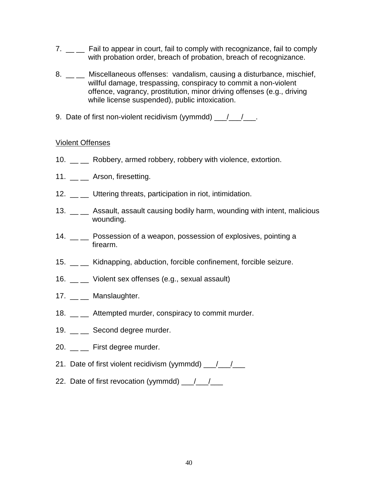- 7. \_ \_ Fail to appear in court, fail to comply with recognizance, fail to comply with probation order, breach of probation, breach of recognizance.
- 8. \_ miscellaneous offenses: vandalism, causing a disturbance, mischief, willful damage, trespassing, conspiracy to commit a non-violent offence, vagrancy, prostitution, minor driving offenses (e.g., driving while license suspended), public intoxication.
- 9. Date of first non-violent recidivism (yymmdd)  $\frac{1}{\sqrt{2}}$ .

### Violent Offenses

- 10. \_\_ Robbery, armed robbery, robbery with violence, extortion.
- 11. \_\_ \_ Arson, firesetting.
- 12. \_\_ \_ Uttering threats, participation in riot, intimidation.
- 13. \_\_ \_ Assault, assault causing bodily harm, wounding with intent, malicious wounding.
- 14. \_\_ \_ Possession of a weapon, possession of explosives, pointing a firearm.
- 15. \_\_ \_\_ Kidnapping, abduction, forcible confinement, forcible seizure.
- 16. \_\_ \_\_ Violent sex offenses (e.g., sexual assault)
- 17. \_\_ \_\_ Manslaughter.
- 18. \_\_ Attempted murder, conspiracy to commit murder.
- 19. Second degree murder.
- 20. \_\_ \_\_ First degree murder.
- 21. Date of first violent recidivism (yymmdd)  $\frac{1}{\sqrt{2}}$
- 22. Date of first revocation (yymmdd)  $\frac{1}{2}$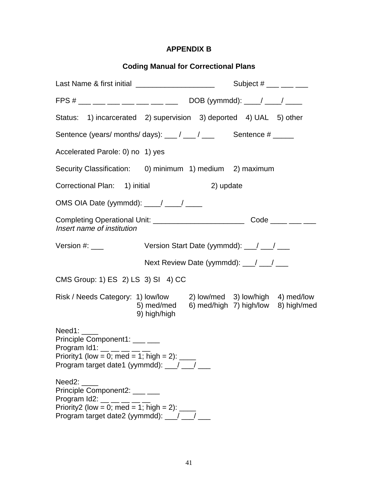### **APPENDIX B**

| <b>Coding Manual for Correctional Plans</b>                                                                                                                                  |                                                                                                                                          |  |
|------------------------------------------------------------------------------------------------------------------------------------------------------------------------------|------------------------------------------------------------------------------------------------------------------------------------------|--|
| Last Name & first initial _______________________                                                                                                                            | Subject $#$ ___ __ __ __                                                                                                                 |  |
|                                                                                                                                                                              | FPS # ___ __ __ __ __ __ __ __ __ DOB (yymmdd): ____/ ____/ _____                                                                        |  |
|                                                                                                                                                                              | Status: 1) incarcerated 2) supervision 3) deported 4) UAL 5) other                                                                       |  |
| Sentence (years/months/days): $\frac{1}{\sqrt{2}}$ / $\frac{1}{\sqrt{2}}$ Sentence # _____                                                                                   |                                                                                                                                          |  |
| Accelerated Parole: 0) no 1) yes                                                                                                                                             |                                                                                                                                          |  |
|                                                                                                                                                                              | Security Classification: 0) minimum 1) medium 2) maximum                                                                                 |  |
| Correctional Plan: 1) initial                                                                                                                                                | 2) update                                                                                                                                |  |
| OMS OIA Date (yymmdd): ___/ ___/ ___                                                                                                                                         |                                                                                                                                          |  |
| Insert name of institution                                                                                                                                                   | Completing Operational Unit: ______________________________Code _____ ____ ____                                                          |  |
|                                                                                                                                                                              | Version Start Date (yymmdd): __/ __/ __                                                                                                  |  |
|                                                                                                                                                                              | Next Review Date (yymmdd): __/ __/ __                                                                                                    |  |
| CMS Group: 1) ES 2) LS 3) SI 4) CC                                                                                                                                           |                                                                                                                                          |  |
|                                                                                                                                                                              | Risk / Needs Category: 1) low/low 2) low/med 3) low/high 4) med/low<br>5) med/med<br>6) med/high 7) high/low 8) high/med<br>9) high/high |  |
| Principle Component1: ___ __<br>Program $Id1:$ __ __ __ __ __<br>Priority1 (low = 0; med = 1; high = 2): $\frac{1}{\sqrt{2}}$<br>Program target date1 (yymmdd): __/ __/ _    |                                                                                                                                          |  |
| Need2:<br>Principle Component2: ___ __<br>Program $Id2:$ __ __ __ __ __<br>Priority2 (low = 0; med = 1; high = 2): $\frac{1}{2}$<br>Program target date2 (yymmdd): __/ __/ _ |                                                                                                                                          |  |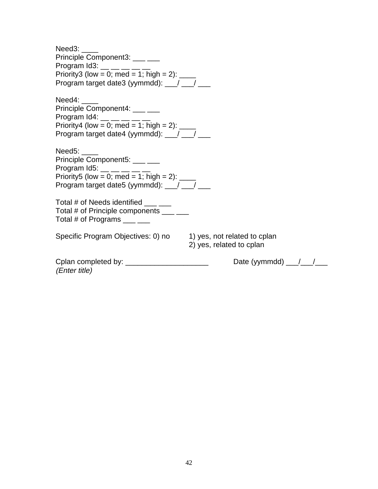| Need3:<br>Principle Component3: ___ __<br>Program Id3: $\frac{1}{2}$ $\frac{1}{2}$ $\frac{1}{2}$ $\frac{1}{2}$<br>Priority3 (low = 0; med = 1; high = 2): $\frac{1}{2}$<br>Program target date3 (yymmdd): __/ __/ __ |                                                |
|----------------------------------------------------------------------------------------------------------------------------------------------------------------------------------------------------------------------|------------------------------------------------|
| Need4:                                                                                                                                                                                                               |                                                |
| Principle Component4: ___ ___<br>Program Id4: $\frac{m}{1}$ = $\frac{m}{1}$ = $\frac{m}{1}$                                                                                                                          |                                                |
| Priority4 (low = 0; med = 1; high = 2): $\frac{1}{2}$                                                                                                                                                                |                                                |
| Program target date4 (yymmdd): __/ __/ __                                                                                                                                                                            |                                                |
| Need5:<br>Principle Component5: ___ ___<br>Program Id5: $\_\_$ $\_\_$ $\_\_$<br>Priority5 (low = 0; med = 1; high = 2): $\frac{ }{ }$<br>Program target date5 (yymmdd): __/ __/ __                                   |                                                |
| Total # of Needs identified ___ __<br>Total # of Principle components ___ ___<br>Total # of Programs $\frac{1}{\sqrt{1-\frac{1}{2}}}}$                                                                               |                                                |
| Specific Program Objectives: 0) no 1) yes, not related to cplan                                                                                                                                                      | 2) yes, related to cplan                       |
| Cplan completed by: _________________________<br>(Enter title)                                                                                                                                                       | Date (yymmdd) $\frac{1}{\sqrt{1-\frac{1}{2}}}$ |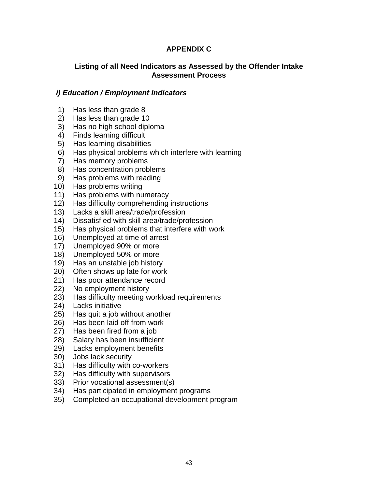### **APPENDIX C**

### **Listing of all Need Indicators as Assessed by the Offender Intake Assessment Process**

### **i) Education / Employment Indicators**

- 1) Has less than grade 8
- 2) Has less than grade 10
- 3) Has no high school diploma
- 4) Finds learning difficult
- 5) Has learning disabilities
- 6) Has physical problems which interfere with learning
- 7) Has memory problems
- 8) Has concentration problems
- 9) Has problems with reading
- 10) Has problems writing
- 11) Has problems with numeracy
- 12) Has difficulty comprehending instructions
- 13) Lacks a skill area/trade/profession
- 14) Dissatisfied with skill area/trade/profession
- 15) Has physical problems that interfere with work
- 16) Unemployed at time of arrest
- 17) Unemployed 90% or more
- 18) Unemployed 50% or more
- 19) Has an unstable job history
- 20) Often shows up late for work
- 21) Has poor attendance record
- 22) No employment history
- 23) Has difficulty meeting workload requirements
- 24) Lacks initiative
- 25) Has quit a job without another
- 26) Has been laid off from work
- 27) Has been fired from a job
- 28) Salary has been insufficient
- 29) Lacks employment benefits
- 30) Jobs lack security
- 31) Has difficulty with co-workers
- 32) Has difficulty with supervisors
- 33) Prior vocational assessment(s)
- 34) Has participated in employment programs
- 35) Completed an occupational development program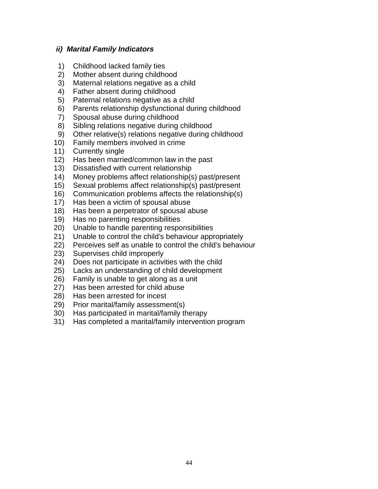### **ii) Marital Family Indicators**

- 1) Childhood lacked family ties
- 2) Mother absent during childhood
- 3) Maternal relations negative as a child
- 4) Father absent during childhood
- 5) Paternal relations negative as a child
- 6) Parents relationship dysfunctional during childhood
- 7) Spousal abuse during childhood
- 8) Sibling relations negative during childhood
- 9) Other relative(s) relations negative during childhood
- 10) Family members involved in crime
- 11) Currently single
- 12) Has been married/common law in the past
- 13) Dissatisfied with current relationship
- 14) Money problems affect relationship(s) past/present
- 15) Sexual problems affect relationship(s) past/present
- 16) Communication problems affects the relationship(s)
- 17) Has been a victim of spousal abuse
- 18) Has been a perpetrator of spousal abuse
- 19) Has no parenting responsibilities
- 20) Unable to handle parenting responsibilities
- 21) Unable to control the child's behaviour appropriately
- 22) Perceives self as unable to control the child's behaviour
- 23) Supervises child improperly
- 24) Does not participate in activities with the child
- 25) Lacks an understanding of child development
- 26) Family is unable to get along as a unit
- 27) Has been arrested for child abuse
- 28) Has been arrested for incest
- 29) Prior marital/family assessment(s)
- 30) Has participated in marital/family therapy
- 31) Has completed a marital/family intervention program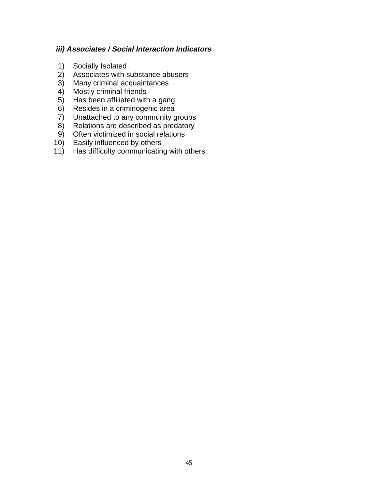### **iii) Associates / Social Interaction Indicators**

- 1) Socially Isolated
- 2) Associates with substance abusers<br>3) Many criminal acquaintances
- 3) Many criminal acquaintances<br>4) Mostly criminal friends
- **Mostly criminal friends**
- 5) Has been affiliated with a gang<br>6) Resides in a criminogenic area
- 6) Resides in a criminogenic area<br>7) Unattached to any community g
- Unattached to any community groups
- 8) Relations are described as predatory
- 9) Often victimized in social relations
- 10) Easily influenced by others
- 11) Has difficulty communicating with others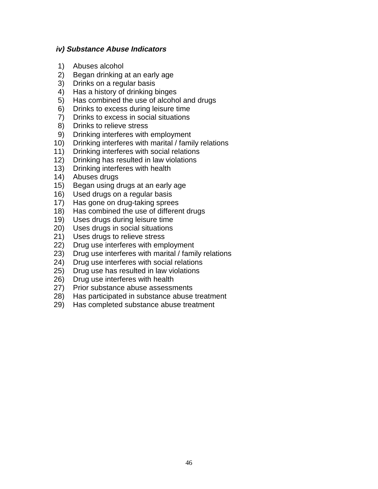### **iv) Substance Abuse Indicators**

- 1) Abuses alcohol
- 2) Began drinking at an early age
- 3) Drinks on a regular basis
- 4) Has a history of drinking binges
- 5) Has combined the use of alcohol and drugs
- 6) Drinks to excess during leisure time
- 7) Drinks to excess in social situations
- 8) Drinks to relieve stress
- 9) Drinking interferes with employment
- 10) Drinking interferes with marital / family relations
- 11) Drinking interferes with social relations
- 12) Drinking has resulted in law violations
- 13) Drinking interferes with health
- 14) Abuses drugs
- 15) Began using drugs at an early age
- 16) Used drugs on a regular basis
- 17) Has gone on drug-taking sprees
- 18) Has combined the use of different drugs
- 19) Uses drugs during leisure time
- 20) Uses drugs in social situations
- 21) Uses drugs to relieve stress
- 22) Drug use interferes with employment
- 23) Drug use interferes with marital / family relations
- 24) Drug use interferes with social relations
- 25) Drug use has resulted in law violations
- 26) Drug use interferes with health
- 27) Prior substance abuse assessments
- 28) Has participated in substance abuse treatment
- 29) Has completed substance abuse treatment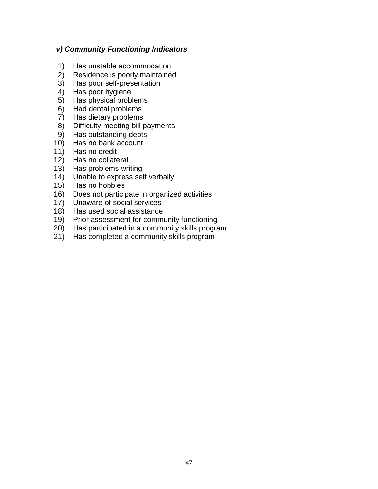### **v) Community Functioning Indicators**

- 1) Has unstable accommodation
- 2) Residence is poorly maintained
- 3) Has poor self-presentation
- 4) Has poor hygiene
- 5) Has physical problems
- 6) Had dental problems
- 7) Has dietary problems
- 8) Difficulty meeting bill payments
- 9) Has outstanding debts
- 10) Has no bank account
- 11) Has no credit
- 12) Has no collateral
- 13) Has problems writing
- 14) Unable to express self verbally
- 15) Has no hobbies
- 16) Does not participate in organized activities
- 17) Unaware of social services
- 18) Has used social assistance
- 19) Prior assessment for community functioning
- 20) Has participated in a community skills program
- 21) Has completed a community skills program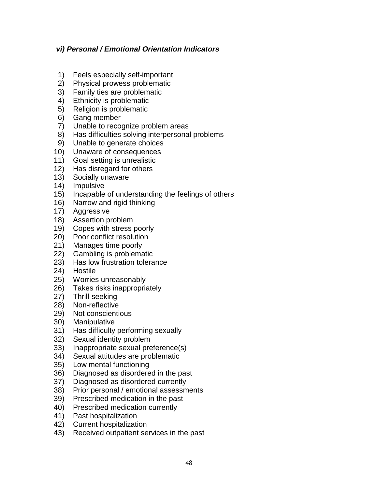### **vi) Personal / Emotional Orientation Indicators**

- 1) Feels especially self-important
- 2) Physical prowess problematic
- 3) Family ties are problematic
- 4) Ethnicity is problematic
- 5) Religion is problematic
- 6) Gang member
- 7) Unable to recognize problem areas
- 8) Has difficulties solving interpersonal problems
- 9) Unable to generate choices
- 10) Unaware of consequences
- 11) Goal setting is unrealistic
- 12) Has disregard for others
- 13) Socially unaware
- 14) Impulsive
- 15) Incapable of understanding the feelings of others
- 16) Narrow and rigid thinking
- 17) Aggressive
- 18) Assertion problem
- 19) Copes with stress poorly
- 20) Poor conflict resolution
- 21) Manages time poorly
- 22) Gambling is problematic
- 23) Has low frustration tolerance
- 24) Hostile
- 25) Worries unreasonably
- 26) Takes risks inappropriately
- 27) Thrill-seeking
- 28) Non-reflective
- 29) Not conscientious
- 30) Manipulative
- 31) Has difficulty performing sexually
- 32) Sexual identity problem
- 33) Inappropriate sexual preference(s)
- 34) Sexual attitudes are problematic
- 35) Low mental functioning
- 36) Diagnosed as disordered in the past
- 37) Diagnosed as disordered currently
- 38) Prior personal / emotional assessments
- 39) Prescribed medication in the past
- 40) Prescribed medication currently
- 41) Past hospitalization
- 42) Current hospitalization
- 43) Received outpatient services in the past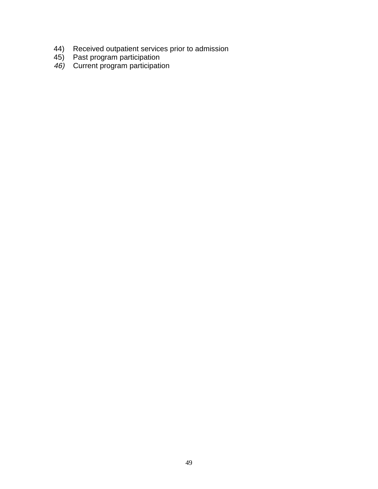- 44) Received outpatient services prior to admission
- 45) Past program participation
- 46) Current program participation